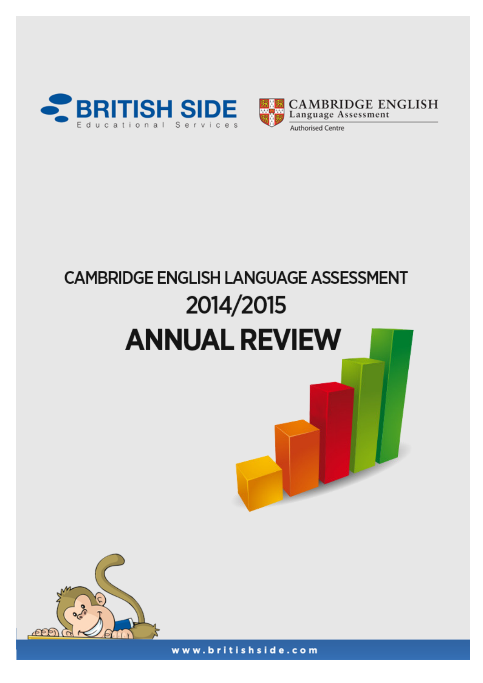



# **CAMBRIDGE ENGLISH LANGUAGE ASSESSMENT** 2014/2015 **ANNUAL REVIEW**



www.britishside.com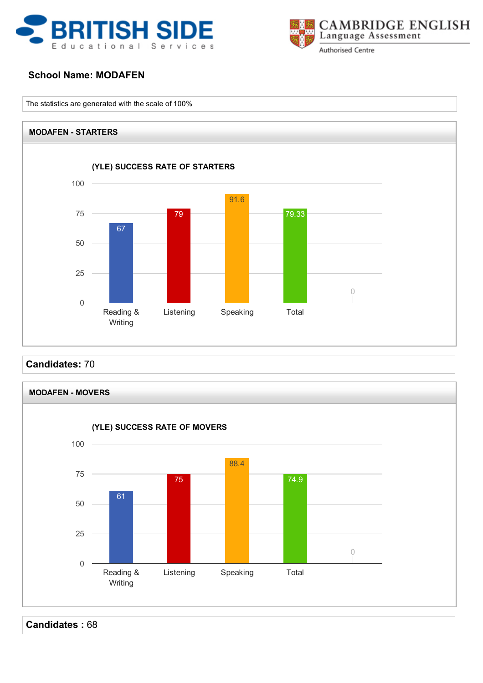



# School Name: MODAFEN

The statistics are generated with the scale of 100%



Candidates: 70



Candidates : 68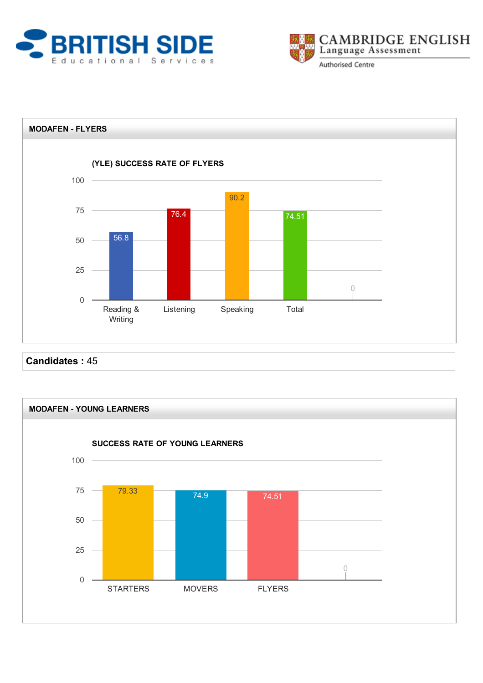





Candidates : 45

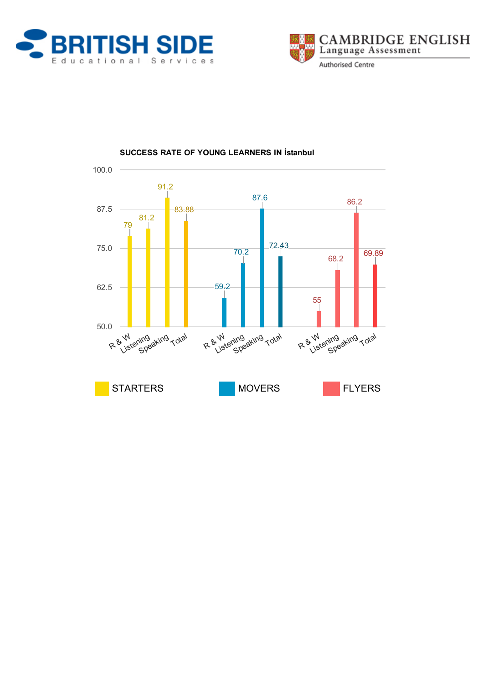





## SUCCESS RATE OF YOUNG LEARNERS IN İstanbul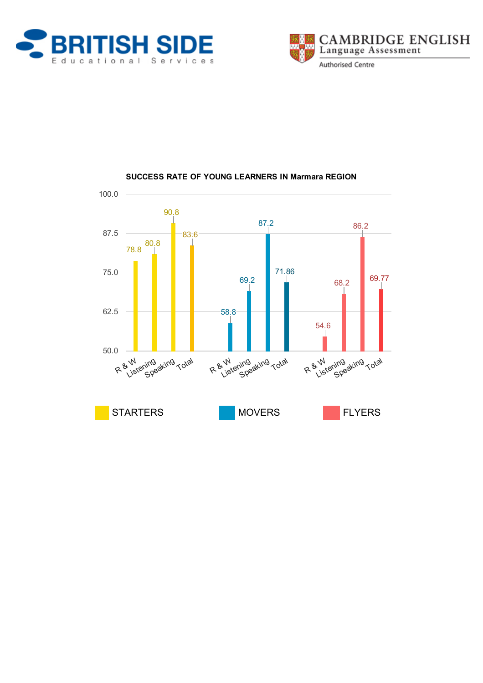





# SUCCESS RATE OF YOUNG LEARNERS IN Marmara REGION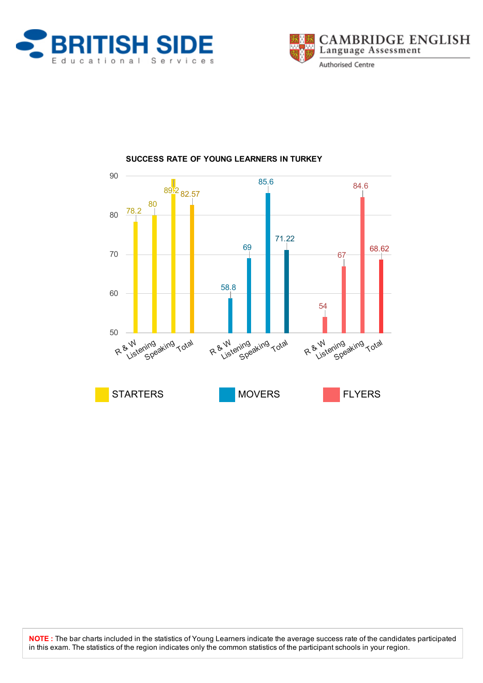





# SUCCESS RATE OF YOUNG LEARNERS IN TURKEY

NOTE : The bar charts included in the statistics of Young Learners indicate the average success rate of the candidates participated in this exam. The statistics of the region indicates only the common statistics of the participant schools in your region.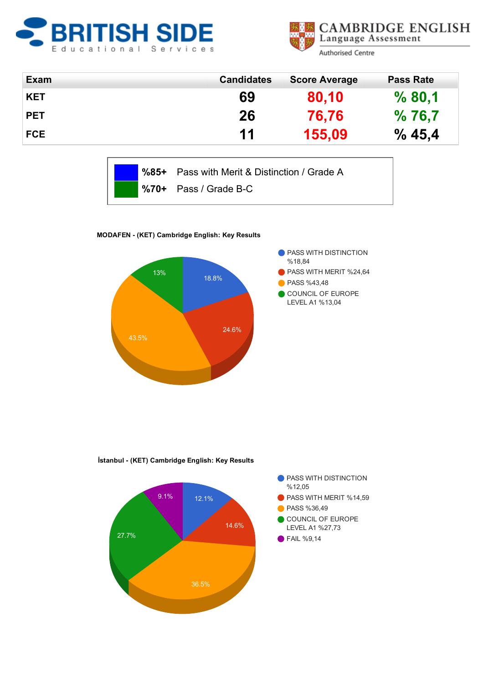



| <b>Exam</b> | <b>Candidates</b> | <b>Score Average</b> | <b>Pass Rate</b> |
|-------------|-------------------|----------------------|------------------|
| <b>KET</b>  | 69                | 80,10                | %80,1            |
| <b>PET</b>  | 26                | 76,76                | %76,7            |
| <b>FCE</b>  | 11                | 155,09               | % 45,4           |

|  | %85+ Pass with Merit & Distinction / Grade A |
|--|----------------------------------------------|
|  | $\%$ 70+ Pass / Grade B-C                    |

MODAFEN (KET) Cambridge English: Key Results



İstanbul - (KET) Cambridge English: Key Results

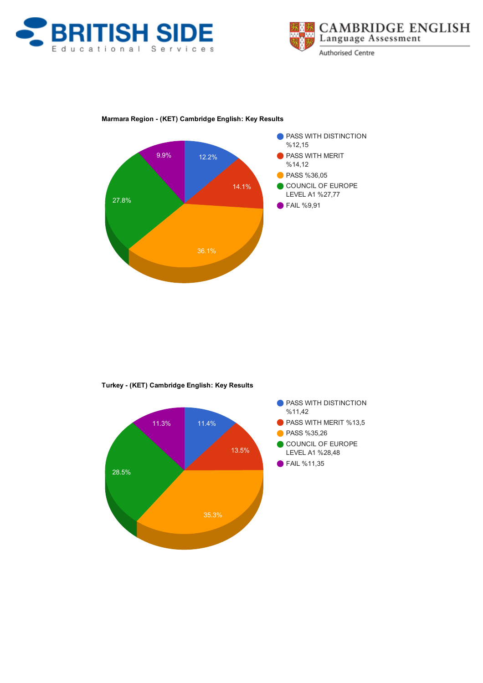





### Marmara Region (KET) Cambridge English: Key Results



Turkey (KET) Cambridge English: Key Results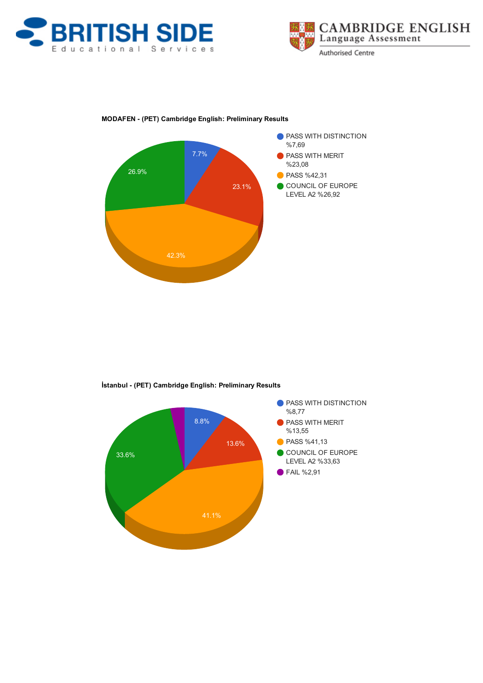





### MODAFEN (PET) Cambridge English: Preliminary Results



İstanbul (PET) Cambridge English: Preliminary Results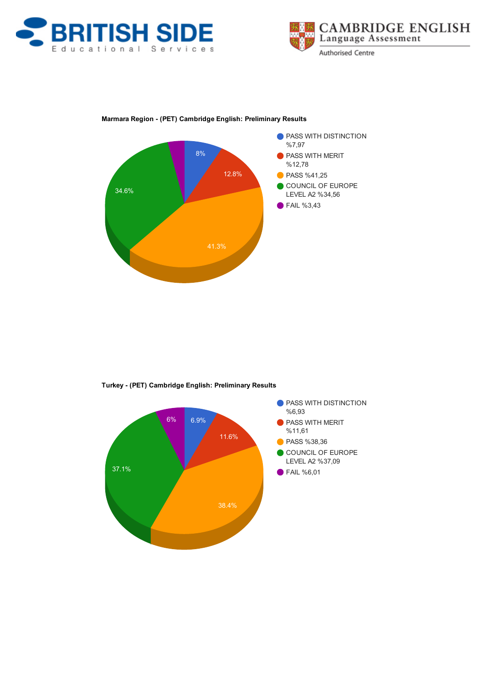





### Marmara Region (PET) Cambridge English: Preliminary Results



Turkey (PET) Cambridge English: Preliminary Results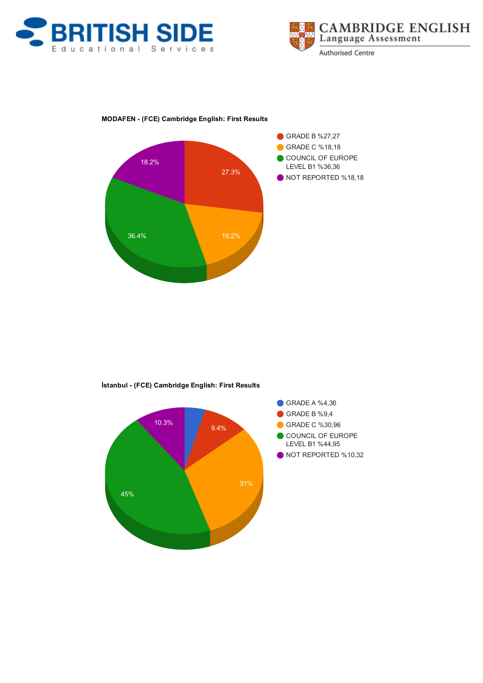





### MODAFEN (FCE) Cambridge English: First Results



İstanbul (FCE) Cambridge English: First Results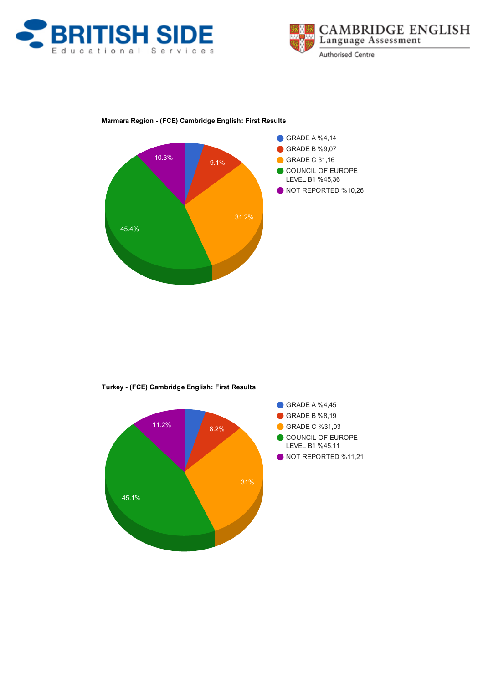





### Marmara Region (FCE) Cambridge English: First Results



Turkey (FCE) Cambridge English: First Results